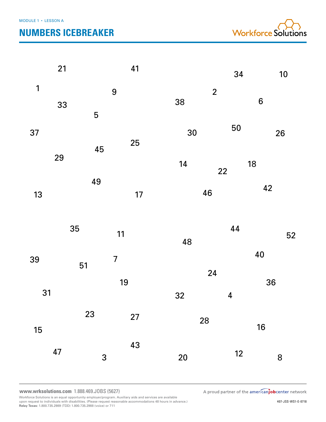# **NUMBERS ICEBREAKER**



|              | 21 |                | 41 |                      | 34                      | 10               |
|--------------|----|----------------|----|----------------------|-------------------------|------------------|
| $\mathbf{1}$ | 33 | 9<br>5         |    | $\overline{2}$<br>38 |                         | $\boldsymbol{6}$ |
| 37           |    | 45             | 25 | 30                   | 50                      | 26               |
|              | 29 | 49             |    | 14                   | 18<br>22                | 42               |
| 13           |    |                | 17 | 46                   |                         |                  |
|              |    |                |    |                      |                         |                  |
|              | 35 |                | 11 | 48                   | 44                      | 52               |
| 39           |    | $\overline{7}$ |    |                      | 40                      |                  |
| 31           | 51 |                | 19 | 24<br>32             | $\overline{\mathbf{4}}$ | 36               |
| 15           |    | 23             | 27 | 28                   |                         | 16               |

**www.wrksolutions.com** 1.888.469.JOBS (5627)

Workforce Solutions is an equal opportunity employer/program. Auxiliary aids and services are available<br>upon request to individuals with disabilities. (Please request reasonable accommodations 48 hours in advance.)<br>**Relay** 

A proud partner of the americanjobcenter network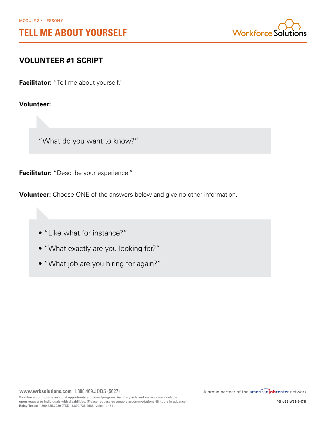

# **VOLUNTEER #1 SCRIPT**

**Facilitator:** "Tell me about yourself."

**Volunteer:**

"What do you want to know?"

**Facilitator:** "Describe your experience."

**Volunteer:** Choose ONE of the answers below and give no other information.

• "Like what for instance?"

- "What exactly are you looking for?"
- "What job are you hiring for again?"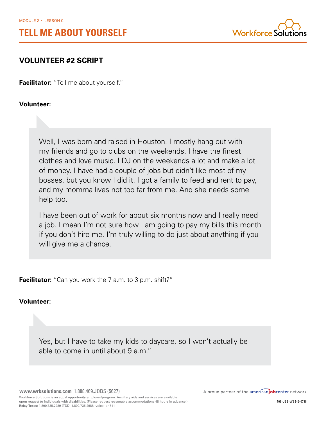

# **VOLUNTEER #2 SCRIPT**

**Facilitator:** "Tell me about yourself."

**Volunteer:**

Well, I was born and raised in Houston. I mostly hang out with my friends and go to clubs on the weekends. I have the finest clothes and love music. I DJ on the weekends a lot and make a lot of money. I have had a couple of jobs but didn't like most of my bosses, but you know I did it. I got a family to feed and rent to pay, and my momma lives not too far from me. And she needs some help too.

I have been out of work for about six months now and I really need a job. I mean I'm not sure how I am going to pay my bills this month if you don't hire me. I'm truly willing to do just about anything if you will give me a chance.

**Facilitator:** "Can you work the 7 a.m. to 3 p.m. shift?"

# **Volunteer:**

Yes, but I have to take my kids to daycare, so I won't actually be able to come in until about 9 a.m."

**www.wrksolutions.com** 1.888.469.JOBS (5627) Workforce Solutions is an equal opportunity employer/program. Auxiliary aids and services are available upon request to individuals with disabilities. (Please request reasonable accommodations 48 hours in advance.) **Relay Texas:** 1.800.735.2989 (TDD) 1.800.735.2988 (voice) or 711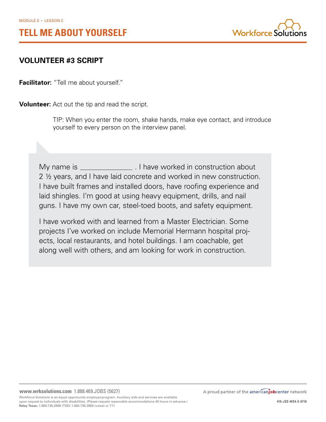

# **VOLUNTEER #3 SCRIPT**

**Facilitator:** "Tell me about yourself."

**Volunteer:** Act out the tip and read the script.

TIP: When you enter the room, shake hands, make eye contact, and introduce yourself to every person on the interview panel.

My name is \_\_\_\_\_\_\_\_\_\_\_\_\_\_\_\_\_\_. I have worked in construction about 2 ½ years, and I have laid concrete and worked in new construction. I have built frames and installed doors, have roofing experience and laid shingles. I'm good at using heavy equipment, drills, and nail guns. I have my own car, steel-toed boots, and safety equipment.

I have worked with and learned from a Master Electrician. Some projects I've worked on include Memorial Hermann hospital projects, local restaurants, and hotel buildings. I am coachable, get along well with others, and am looking for work in construction.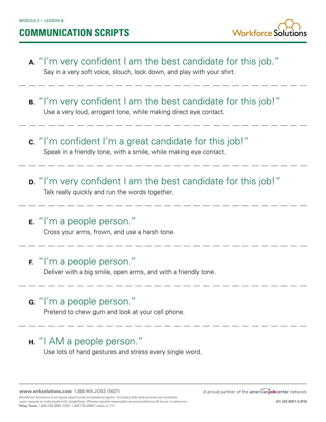# **COMMUNICATION SCRIPTS**

 **A.** "I'm very confident I am the best candidate for this job."

Say in a very soft voice, slouch, look down, and play with your shirt.

- **B.** "I'm very confident I am the best candidate for this job!" Use a very loud, arrogant tone, while making direct eye contact.
- **C.** "I'm confident I'm a great candidate for this job!" Speak in a friendly tone, with a smile, while making eye contact.
- **D.** "I'm very confident I am the best candidate for this job!" Talk really quickly and run the words together.
- **E.** "I'm a people person."

Cross your arms, frown, and use a harsh tone.

# **F.** "I'm a people person."

Deliver with a big smile, open arms, and with a friendly tone.

# **G.** "I'm a people person."

Pretend to chew gum and look at your cell phone.

# **H.** "I AM a people person."

Use lots of hand gestures and stress every single word.

**www.wrksolutions.com** 1.888.469.JOBS (5627)

Workforce Solutions is an equal opportunity employer/program. Auxiliary aids and services are available upon request to individuals with disabilities. (Please request reasonable accommodations 48 hours in advance.) **Relay Texas:** 1.800.735.2989 (TDD) 1.800.735.2988 (voice) or 711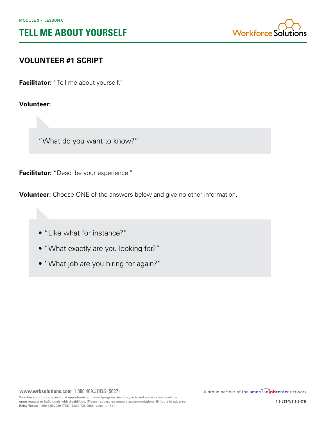

# **VOLUNTEER #1 SCRIPT**

**Facilitator:** "Tell me about yourself."

**Volunteer:**

"What do you want to know?"

**Facilitator:** "Describe your experience."

**Volunteer:** Choose ONE of the answers below and give no other information.

• "Like what for instance?"

- "What exactly are you looking for?"
- "What job are you hiring for again?"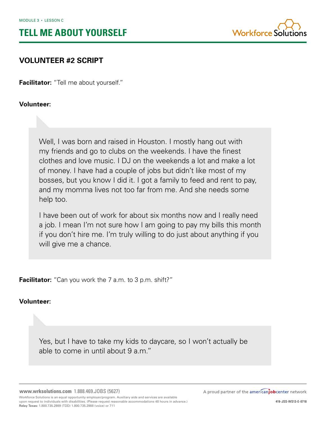

# **VOLUNTEER #2 SCRIPT**

**Facilitator:** "Tell me about yourself."

**Volunteer:**

Well, I was born and raised in Houston. I mostly hang out with my friends and go to clubs on the weekends. I have the finest clothes and love music. I DJ on the weekends a lot and make a lot of money. I have had a couple of jobs but didn't like most of my bosses, but you know I did it. I got a family to feed and rent to pay, and my momma lives not too far from me. And she needs some help too.

I have been out of work for about six months now and I really need a job. I mean I'm not sure how I am going to pay my bills this month if you don't hire me. I'm truly willing to do just about anything if you will give me a chance.

**Facilitator:** "Can you work the 7 a.m. to 3 p.m. shift?"

# **Volunteer:**

Yes, but I have to take my kids to daycare, so I won't actually be able to come in until about 9 a.m."

**www.wrksolutions.com** 1.888.469.JOBS (5627) Workforce Solutions is an equal opportunity employer/program. Auxiliary aids and services are available upon request to individuals with disabilities. (Please request reasonable accommodations 48 hours in advance.) **Relay Texas:** 1.800.735.2989 (TDD) 1.800.735.2988 (voice) or 711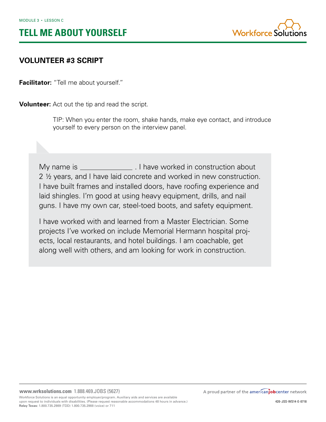

# **VOLUNTEER #3 SCRIPT**

**Facilitator:** "Tell me about yourself."

**Volunteer:** Act out the tip and read the script.

TIP: When you enter the room, shake hands, make eye contact, and introduce yourself to every person on the interview panel.

My name is \_\_\_\_\_\_\_\_\_\_\_\_\_\_\_\_\_\_. I have worked in construction about 2 ½ years, and I have laid concrete and worked in new construction. I have built frames and installed doors, have roofing experience and laid shingles. I'm good at using heavy equipment, drills, and nail guns. I have my own car, steel-toed boots, and safety equipment.

I have worked with and learned from a Master Electrician. Some projects I've worked on include Memorial Hermann hospital projects, local restaurants, and hotel buildings. I am coachable, get along well with others, and am looking for work in construction.

**Relay Texas:** 1.800.735.2989 (TDD) 1.800.735.2988 (voice) or 711

A proud partner of the americanjobcenter network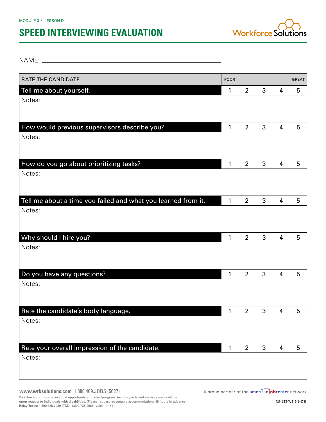# **SPEED INTERVIEWING EVALUATION**



NAME: WE have a series of the series of the series of the series of the series of the series of the series of the series of the series of the series of the series of the series of the series of the series of the series of

| RATE THE CANDIDATE                                            | <b>POOR</b> |                |   |                         | <b>GREAT</b> |
|---------------------------------------------------------------|-------------|----------------|---|-------------------------|--------------|
| Tell me about yourself.                                       | 1           | $\overline{2}$ | 3 | 4                       | 5            |
| Notes:                                                        |             |                |   |                         |              |
|                                                               |             |                |   |                         |              |
| How would previous supervisors describe you?                  | 1           | $\overline{2}$ | 3 | $\overline{\mathbf{4}}$ | 5            |
| Notes:                                                        |             |                |   |                         |              |
|                                                               |             |                |   |                         |              |
|                                                               |             |                |   |                         |              |
| How do you go about prioritizing tasks?                       | 1           | $\overline{2}$ | 3 | $\overline{\mathbf{4}}$ | 5            |
| Notes:                                                        |             |                |   |                         |              |
|                                                               |             |                |   |                         |              |
| Tell me about a time you failed and what you learned from it. | 1           | $\overline{2}$ | 3 | $\overline{\mathbf{4}}$ | 5            |
| Notes:                                                        |             |                |   |                         |              |
|                                                               |             |                |   |                         |              |
|                                                               |             |                |   |                         |              |
| Why should I hire you?<br>Notes:                              | 1           | $\overline{2}$ | 3 | $\overline{\mathbf{4}}$ | 5            |
|                                                               |             |                |   |                         |              |
|                                                               |             |                |   |                         |              |
| Do you have any questions?                                    | 1           | $\overline{2}$ | 3 | 4                       | 5            |
| Notes:                                                        |             |                |   |                         |              |
|                                                               |             |                |   |                         |              |
| Rate the candidate's body language.                           | 1           | $\overline{2}$ | 3 | $\overline{4}$          | ხ            |
| Notes:                                                        |             |                |   |                         |              |
|                                                               |             |                |   |                         |              |
|                                                               |             |                |   |                         |              |
| Rate your overall impression of the candidate.                | 1           | $\overline{2}$ | 3 | $\overline{\mathbf{4}}$ | 5            |
| Notes:                                                        |             |                |   |                         |              |
|                                                               |             |                |   |                         |              |

**www.wrksolutions.com** 1.888.469.JOBS (5627)

Workforce Solutions is an equal opportunity employer/program. Auxiliary aids and services are available<br>upon request to individuals with disabilities. (Please request reasonable accommodations 48 hours in advance.)<br>**Relay**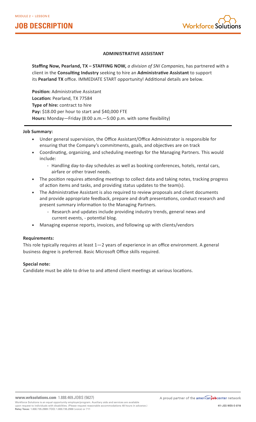# **JOB DESCRIPTION**



## **ADMINISTRATIVE ASSISTANT**

**Staffing Now, Pearland, TX – STAFFING NOW,** *a division of SNI Companies*, has partnered with a client in the **Consulting Industry** seeking to hire an **Administrative Assistant** to support its **Pearland TX** office. IMMEDIATE START opportunity! Additional details are below.

**Position:** Administrative Assistant **Location:** Pearland, TX 77584 **Type of hire:** contract to hire **Pay:** \$18.00 per hour to start and \$40,000 FTE **Hours:** Monday—Friday (8:00 a.m.—5:00 p.m. with some flexibility)

## **Job Summary:**

- Under general supervision, the Office Assistant/Office Administrator is responsible for ensuring that the Company's commitments, goals, and objectives are on track
- Coordinating, organizing, and scheduling meetings for the Managing Partners. This would include:
	- Handling day-to-day schedules as well as booking conferences, hotels, rental cars, airfare or other travel needs.
- The position requires attending meetings to collect data and taking notes, tracking progress of action items and tasks, and providing status updates to the team(s).
- The Administrative Assistant is also required to review proposals and client documents and provide appropriate feedback, prepare and draft presentations, conduct research and present summary information to the Managing Partners.
	- Research and updates include providing industry trends, general news and current events, - potential blog.
- Managing expense reports, invoices, and following up with clients/vendors

## **Requirements:**

This role typically requires at least 1—2 years of experience in an office environment. A general business degree is preferred. Basic Microsoft Office skills required.

## **Special note:**

Candidate must be able to drive to and attend client meetings at various locations.

**Relay Texas:** 1.800.735.2989 (TDD) 1.800.735.2988 (voice) or 711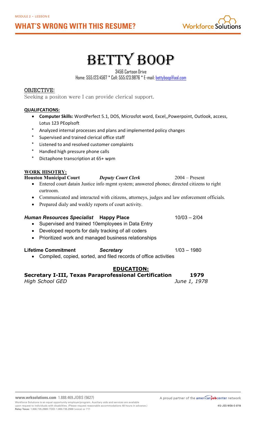# **WHAT'S WRONG WITH THIS RESUME?**



# BETTY BOOP

3456 Cartoon Drive

Home: 555.123.4567 \* Cell: 555.123.9876 \* E-mail: bettyboop@aol.com

# OBJECTIVE:

Seeking a positon were I can provide clerical support.

# **QUALIFCATIONS:**

- **Computer Skills:** WordPerfect 5.1, DOS, Microsfot word, Excel,,Powerpoint, Outlook, access, Lotus 123 PEoplsoft
- Analyzed internal processes and plans and implemented policy changes
- Supervised and trained clerical office staff
- Listened to and resolved customer complaints
- \* Handled high pressure phone calls
- Dictaphone transcription at 65+ wpm

# **WORK HISOTRY:**

| <b>Houston Municipal Court</b> | <b>Deputy Court Clerk</b> | $2004 -$ Present                                                                              |
|--------------------------------|---------------------------|-----------------------------------------------------------------------------------------------|
|                                |                           | Entered court datain Justice info mgmt system; answered phones; directed citizens to right    |
| curtroom.                      |                           |                                                                                               |
|                                |                           | • Communicated and interacted with citizens, attorneys, judges and law enforcement officials. |

• Prepared dialy and weekly reports of court activity.

# *Human Resources Specialist* **Happy Place** 10/03 – 2/04 • Supervised and trained 10employees in Data Entry

- Developed reports for daily tracking of all coders
- Prioritized work and managed business relationships

## Lifetime Commitment **Secretary** 1/03 – 1980

• Compiled, copied, sorted, and filed records of office activities

# **EDUCATION:**

## **Secretary I-III, Texas Paraprofessional Certification 1979** *High School GED June 1, 1978*

**www.wrksolutions.com** 1.888.469.JOBS (5627)

Workforce Solutions is an equal opportunity employer/program. Auxiliary aids and services are available upon request to individuals with disabilities. (Please request reasonable accommodations 48 hours in advance.) **Relay Texas:** 1.800.735.2989 (TDD) 1.800.735.2988 (voice) or 711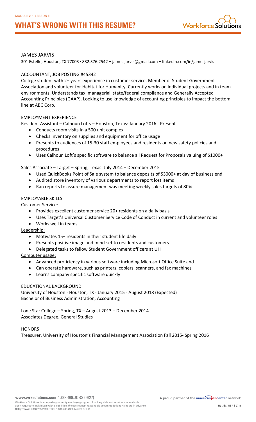# **WHAT'S WRONG WITH THIS RESUME?**



## JAMES JARVIS

301 Estelle, Houston, TX 77003 • 832.376.2542 • james.jarvis@gmail.com • linkedin.com/in/jamesjarvis

## ACCOUNTANT, JOB POSTING #45342

College student with 2+ years experience in customer service. Member of Student Government Association and volunteer for Habitat for Humanity. Currently works on individual projects and in team environments. Understands tax, managerial, state/federal compliance and Generally Accepted Accounting Principles (GAAP). Looking to use knowledge of accounting principles to impact the bottom line at ABC Corp.

## EMPLOYMENT EXPERIENCE

Resident Assistant – Calhoun Lofts – Houston, Texas: January 2016 - Present

- Conducts room visits in a 500 unit complex
- Checks inventory on supplies and equipment for office usage
- Presents to audiences of 15-30 staff employees and residents on new safety policies and procedures
- Uses Calhoun Loft's specific software to balance all Request for Proposals valuing of \$1000+

## Sales Associate – Target – Spring, Texas: July 2014 – December 2015

- Used QuickBooks Point of Sale system to balance deposits of \$3000+ at day of business end
- Audited store inventory of various departments to report lost items
- Ran reports to assure management was meeting weekly sales targets of 80%

## EMPLOYABLE SKILLS

Customer Service:

- Provides excellent customer service 20+ residents on a daily basis
- Uses Target's Universal Customer Service Code of Conduct in current and volunteer roles
- Works well in teams

Leadership:

- Motivates 15+ residents in their student life daily
- Presents positive image and mind-set to residents and customers
- Delegated tasks to fellow Student Government officers at UH

## Computer usage:

- Advanced proficiency in various software including Microsoft Office Suite and
- Can operate hardware, such as printers, copiers, scanners, and fax machines
- Learns company specific software quickly

## EDUCATIONAL BACKGROUND

University of Houston - Houston, TX - January 2015 - August 2018 (Expected) Bachelor of Business Administration, Accounting

Lone Star College – Spring, TX – August 2013 – December 2014 Associates Degree. General Studies

## **HONORS**

Treasurer, University of Houston's Financial Management Association Fall 2015- Spring 2016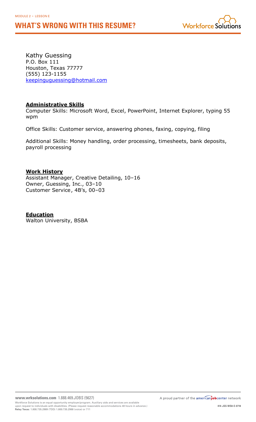# **WHAT'S WRONG WITH THIS RESUME?**



Kathy Guessing P.O. Box 111 Houston, Texas 77777 (555) 123-1155 keepinguguessing@hotmail.com

# **Administrative Skills**

Computer Skills: Microsoft Word, Excel, PowerPoint, Internet Explorer, typing 55 wpm

Office Skills: Customer service, answering phones, faxing, copying, filing

Additional Skills: Money handling, order processing, timesheets, bank deposits, payroll processing

# **Work History**

Assistant Manager, Creative Detailing, 10–16 Owner, Guessing, Inc., 03–10 Customer Service, 4B's, 00–03

# **Education**

Walton University, BSBA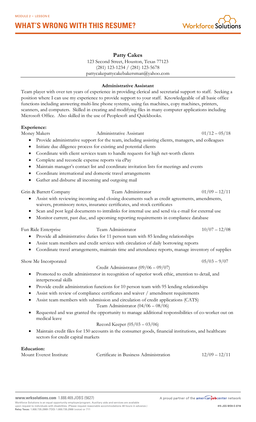# **Administrative Assistant**

**Patty Cakes** 123 Second Street, Houston, Texas 77123 (281) 123-1234 / (281) 123-5678 pattycakepattycakebakersman@yahoo.com

Team player with over ten years of experience in providing clerical and secretarial support to staff. Seeking a position where I can use my experience to provide support to your staff. Knowledgeable of all basic office functions including answering multi-line phone systems, using fax machines, copy machines, printers, scanners, and computers. Skilled in creating and modifying files in many computer applications including Microsoft Office. Also skilled in the use of Peoplesoft and Quickbooks.

# **Experience:**

Money Makers Administrative Assistant 01/12 – 05/18

- Provide administrative support for the team, including assisting clients, managers, and colleagues
- Initiate due diligence process for existing and potential clients
- Coordinate with client services team to handle requests for high net-worth clients
- Complete and reconcile expense reports via ePay

**WHAT'S WRONG WITH THIS RESUME?**

- Maintain manager's contact list and coordinate invitation lists for meetings and events
- Coordinate international and domestic travel arrangements
- Gather and disburse all incoming and outgoing mail

Grin & Barrett Company Team Administrator 01/09 – 12/11

- Assist with reviewing incoming and closing documents such as credit agreements, amendments, waivers, promissory notes, insurance certificates, and stock certificates
- Scan and post legal documents to intralinks for internal use and send via e-mail for external use
- Monitor current, past due, and upcoming reporting requirements in compliance database

• Provide all administrative duties for 11 person team with 85 lending relationships • Assist team members and credit services with circulation of daily borrowing reports

Fun Ride Enterprise Team Administrator 10/07 – 12/08

#### Show Me Incorporated  $0.5/03 - 9/07$ Credit Administrator (09/06 – 09/07)

• Coordinate travel arrangements, maintain time and attendance reports, manage inventory of supplies

- Promoted to credit administrator in recognition of superior work ethic, attention to detail, and interpersonal skills
- Provide credit administration functions for 10 person team with 95 lending relationships
- Assist with review of compliance certificates and waiver / amendment requirements
- Assist team members with submission and circulation of credit applications (CATS)

Team Administrator (04/06 – 08/06)

Requested and was granted the opportunity to manage additional responsibilities of co-worker out on medical leave

## Record Keeper (05/03 – 03/06)

• Maintain credit files for 150 accounts in the consumer goods, financial institutions, and healthcare sectors for credit capital markets

## **Education:**

**www.wrksolutions.com** 1.888.469.JOBS (5627)

Mount Everest Institute Certificate in Business Administration 12/09 – 12/11